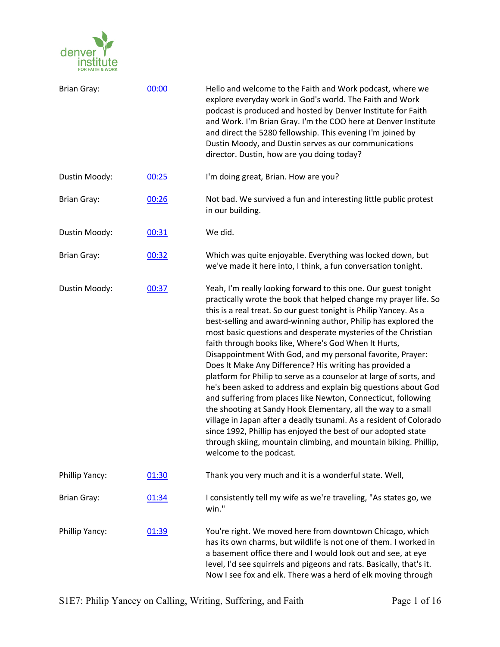

| <b>Brian Gray:</b> | 00:00 | Hello and welcome to the Faith and Work podcast, where we<br>explore everyday work in God's world. The Faith and Work<br>podcast is produced and hosted by Denver Institute for Faith<br>and Work. I'm Brian Gray. I'm the COO here at Denver Institute<br>and direct the 5280 fellowship. This evening I'm joined by<br>Dustin Moody, and Dustin serves as our communications<br>director. Dustin, how are you doing today?                                                                                                                                                                                                                                                                                                                                                                                                                                                                                                                                                                                                                 |
|--------------------|-------|----------------------------------------------------------------------------------------------------------------------------------------------------------------------------------------------------------------------------------------------------------------------------------------------------------------------------------------------------------------------------------------------------------------------------------------------------------------------------------------------------------------------------------------------------------------------------------------------------------------------------------------------------------------------------------------------------------------------------------------------------------------------------------------------------------------------------------------------------------------------------------------------------------------------------------------------------------------------------------------------------------------------------------------------|
| Dustin Moody:      | 00:25 | I'm doing great, Brian. How are you?                                                                                                                                                                                                                                                                                                                                                                                                                                                                                                                                                                                                                                                                                                                                                                                                                                                                                                                                                                                                         |
| <b>Brian Gray:</b> | 00:26 | Not bad. We survived a fun and interesting little public protest<br>in our building.                                                                                                                                                                                                                                                                                                                                                                                                                                                                                                                                                                                                                                                                                                                                                                                                                                                                                                                                                         |
| Dustin Moody:      | 00:31 | We did.                                                                                                                                                                                                                                                                                                                                                                                                                                                                                                                                                                                                                                                                                                                                                                                                                                                                                                                                                                                                                                      |
| <b>Brian Gray:</b> | 00:32 | Which was quite enjoyable. Everything was locked down, but<br>we've made it here into, I think, a fun conversation tonight.                                                                                                                                                                                                                                                                                                                                                                                                                                                                                                                                                                                                                                                                                                                                                                                                                                                                                                                  |
| Dustin Moody:      | 00:37 | Yeah, I'm really looking forward to this one. Our guest tonight<br>practically wrote the book that helped change my prayer life. So<br>this is a real treat. So our guest tonight is Philip Yancey. As a<br>best-selling and award-winning author, Philip has explored the<br>most basic questions and desperate mysteries of the Christian<br>faith through books like, Where's God When It Hurts,<br>Disappointment With God, and my personal favorite, Prayer:<br>Does It Make Any Difference? His writing has provided a<br>platform for Philip to serve as a counselor at large of sorts, and<br>he's been asked to address and explain big questions about God<br>and suffering from places like Newton, Connecticut, following<br>the shooting at Sandy Hook Elementary, all the way to a small<br>village in Japan after a deadly tsunami. As a resident of Colorado<br>since 1992, Phillip has enjoyed the best of our adopted state<br>through skiing, mountain climbing, and mountain biking. Phillip,<br>welcome to the podcast. |
| Phillip Yancy:     | 01:30 | Thank you very much and it is a wonderful state. Well,                                                                                                                                                                                                                                                                                                                                                                                                                                                                                                                                                                                                                                                                                                                                                                                                                                                                                                                                                                                       |
| <b>Brian Gray:</b> | 01:34 | I consistently tell my wife as we're traveling, "As states go, we<br>win."                                                                                                                                                                                                                                                                                                                                                                                                                                                                                                                                                                                                                                                                                                                                                                                                                                                                                                                                                                   |
| Phillip Yancy:     | 01:39 | You're right. We moved here from downtown Chicago, which<br>has its own charms, but wildlife is not one of them. I worked in<br>a basement office there and I would look out and see, at eye<br>level, I'd see squirrels and pigeons and rats. Basically, that's it.<br>Now I see fox and elk. There was a herd of elk moving through                                                                                                                                                                                                                                                                                                                                                                                                                                                                                                                                                                                                                                                                                                        |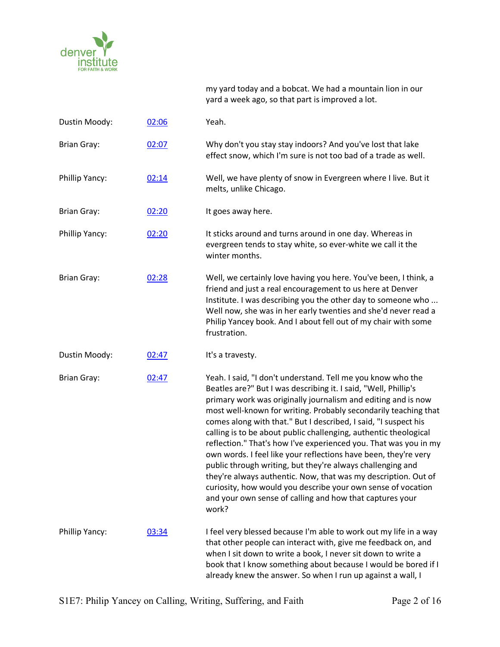

my yard today and a bobcat. We had a mountain lion in our yard a week ago, so that part is improved a lot.

| Dustin Moody:      | 02:06 | Yeah.                                                                                                                                                                                                                                                                                                                                                                                                                                                                                                                                                                                                                                                                                                                                                                                                                 |
|--------------------|-------|-----------------------------------------------------------------------------------------------------------------------------------------------------------------------------------------------------------------------------------------------------------------------------------------------------------------------------------------------------------------------------------------------------------------------------------------------------------------------------------------------------------------------------------------------------------------------------------------------------------------------------------------------------------------------------------------------------------------------------------------------------------------------------------------------------------------------|
| <b>Brian Gray:</b> | 02:07 | Why don't you stay stay indoors? And you've lost that lake<br>effect snow, which I'm sure is not too bad of a trade as well.                                                                                                                                                                                                                                                                                                                                                                                                                                                                                                                                                                                                                                                                                          |
| Phillip Yancy:     | 02:14 | Well, we have plenty of snow in Evergreen where I live. But it<br>melts, unlike Chicago.                                                                                                                                                                                                                                                                                                                                                                                                                                                                                                                                                                                                                                                                                                                              |
| <b>Brian Gray:</b> | 02:20 | It goes away here.                                                                                                                                                                                                                                                                                                                                                                                                                                                                                                                                                                                                                                                                                                                                                                                                    |
| Phillip Yancy:     | 02:20 | It sticks around and turns around in one day. Whereas in<br>evergreen tends to stay white, so ever-white we call it the<br>winter months.                                                                                                                                                                                                                                                                                                                                                                                                                                                                                                                                                                                                                                                                             |
| <b>Brian Gray:</b> | 02:28 | Well, we certainly love having you here. You've been, I think, a<br>friend and just a real encouragement to us here at Denver<br>Institute. I was describing you the other day to someone who<br>Well now, she was in her early twenties and she'd never read a<br>Philip Yancey book. And I about fell out of my chair with some<br>frustration.                                                                                                                                                                                                                                                                                                                                                                                                                                                                     |
| Dustin Moody:      | 02:47 | It's a travesty.                                                                                                                                                                                                                                                                                                                                                                                                                                                                                                                                                                                                                                                                                                                                                                                                      |
| <b>Brian Gray:</b> | 02:47 | Yeah. I said, "I don't understand. Tell me you know who the<br>Beatles are?" But I was describing it. I said, "Well, Phillip's<br>primary work was originally journalism and editing and is now<br>most well-known for writing. Probably secondarily teaching that<br>comes along with that." But I described, I said, "I suspect his<br>calling is to be about public challenging, authentic theological<br>reflection." That's how I've experienced you. That was you in my<br>own words. I feel like your reflections have been, they're very<br>public through writing, but they're always challenging and<br>they're always authentic. Now, that was my description. Out of<br>curiosity, how would you describe your own sense of vocation<br>and your own sense of calling and how that captures your<br>work? |
| Phillip Yancy:     | 03:34 | I feel very blessed because I'm able to work out my life in a way<br>that other people can interact with, give me feedback on, and<br>when I sit down to write a book, I never sit down to write a<br>book that I know something about because I would be bored if I<br>already knew the answer. So when I run up against a wall, I                                                                                                                                                                                                                                                                                                                                                                                                                                                                                   |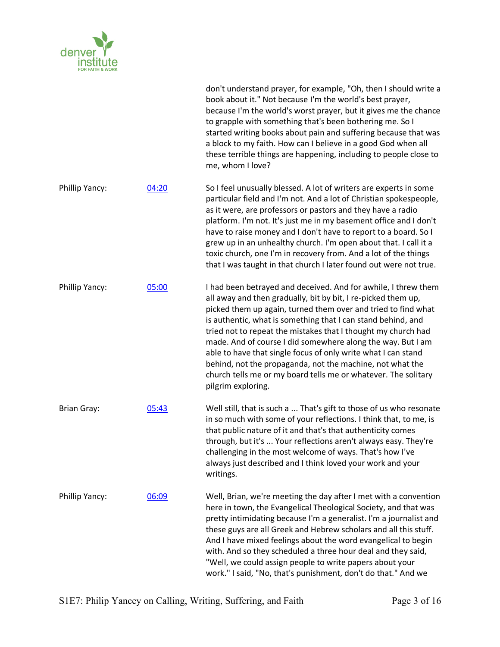

|                    |       | don't understand prayer, for example, "Oh, then I should write a<br>book about it." Not because I'm the world's best prayer,<br>because I'm the world's worst prayer, but it gives me the chance<br>to grapple with something that's been bothering me. So I<br>started writing books about pain and suffering because that was<br>a block to my faith. How can I believe in a good God when all<br>these terrible things are happening, including to people close to<br>me, whom I love?                                                                                                                              |
|--------------------|-------|------------------------------------------------------------------------------------------------------------------------------------------------------------------------------------------------------------------------------------------------------------------------------------------------------------------------------------------------------------------------------------------------------------------------------------------------------------------------------------------------------------------------------------------------------------------------------------------------------------------------|
| Phillip Yancy:     | 04:20 | So I feel unusually blessed. A lot of writers are experts in some<br>particular field and I'm not. And a lot of Christian spokespeople,<br>as it were, are professors or pastors and they have a radio<br>platform. I'm not. It's just me in my basement office and I don't<br>have to raise money and I don't have to report to a board. So I<br>grew up in an unhealthy church. I'm open about that. I call it a<br>toxic church, one I'm in recovery from. And a lot of the things<br>that I was taught in that church I later found out were not true.                                                             |
| Phillip Yancy:     | 05:00 | I had been betrayed and deceived. And for awhile, I threw them<br>all away and then gradually, bit by bit, I re-picked them up,<br>picked them up again, turned them over and tried to find what<br>is authentic, what is something that I can stand behind, and<br>tried not to repeat the mistakes that I thought my church had<br>made. And of course I did somewhere along the way. But I am<br>able to have that single focus of only write what I can stand<br>behind, not the propaganda, not the machine, not what the<br>church tells me or my board tells me or whatever. The solitary<br>pilgrim exploring. |
| <b>Brian Gray:</b> | 05:43 | Well still, that is such a  That's gift to those of us who resonate<br>in so much with some of your reflections. I think that, to me, is<br>that public nature of it and that's that authenticity comes<br>through, but it's  Your reflections aren't always easy. They're<br>challenging in the most welcome of ways. That's how I've<br>always just described and I think loved your work and your<br>writings.                                                                                                                                                                                                      |
| Phillip Yancy:     | 06:09 | Well, Brian, we're meeting the day after I met with a convention<br>here in town, the Evangelical Theological Society, and that was<br>pretty intimidating because I'm a generalist. I'm a journalist and<br>these guys are all Greek and Hebrew scholars and all this stuff.<br>And I have mixed feelings about the word evangelical to begin<br>with. And so they scheduled a three hour deal and they said,<br>"Well, we could assign people to write papers about your<br>work." I said, "No, that's punishment, don't do that." And we                                                                            |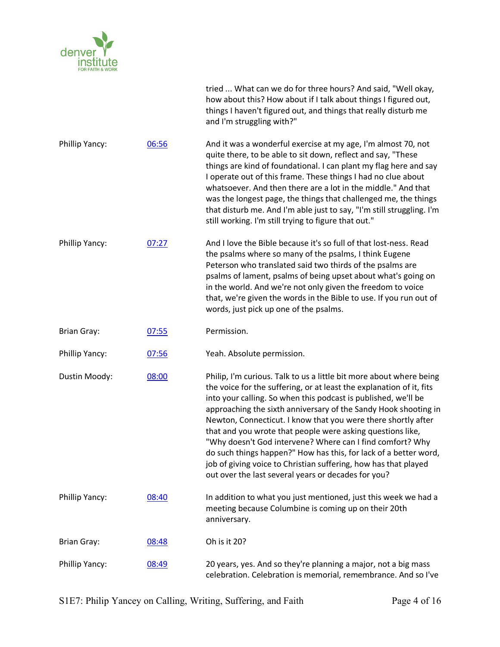

|                    |       | tried  What can we do for three hours? And said, "Well okay,<br>how about this? How about if I talk about things I figured out,<br>things I haven't figured out, and things that really disturb me<br>and I'm struggling with?"                                                                                                                                                                                                                                                                                                                                                                                                                                            |
|--------------------|-------|----------------------------------------------------------------------------------------------------------------------------------------------------------------------------------------------------------------------------------------------------------------------------------------------------------------------------------------------------------------------------------------------------------------------------------------------------------------------------------------------------------------------------------------------------------------------------------------------------------------------------------------------------------------------------|
| Phillip Yancy:     | 06:56 | And it was a wonderful exercise at my age, I'm almost 70, not<br>quite there, to be able to sit down, reflect and say, "These<br>things are kind of foundational. I can plant my flag here and say<br>I operate out of this frame. These things I had no clue about<br>whatsoever. And then there are a lot in the middle." And that<br>was the longest page, the things that challenged me, the things<br>that disturb me. And I'm able just to say, "I'm still struggling. I'm<br>still working. I'm still trying to figure that out."                                                                                                                                   |
| Phillip Yancy:     | 07:27 | And I love the Bible because it's so full of that lost-ness. Read<br>the psalms where so many of the psalms, I think Eugene<br>Peterson who translated said two thirds of the psalms are<br>psalms of lament, psalms of being upset about what's going on<br>in the world. And we're not only given the freedom to voice<br>that, we're given the words in the Bible to use. If you run out of<br>words, just pick up one of the psalms.                                                                                                                                                                                                                                   |
| <b>Brian Gray:</b> | 07:55 | Permission.                                                                                                                                                                                                                                                                                                                                                                                                                                                                                                                                                                                                                                                                |
| Phillip Yancy:     | 07:56 | Yeah. Absolute permission.                                                                                                                                                                                                                                                                                                                                                                                                                                                                                                                                                                                                                                                 |
| Dustin Moody:      | 08:00 | Philip, I'm curious. Talk to us a little bit more about where being<br>the voice for the suffering, or at least the explanation of it, fits<br>into your calling. So when this podcast is published, we'll be<br>approaching the sixth anniversary of the Sandy Hook shooting in<br>Newton, Connecticut. I know that you were there shortly after<br>that and you wrote that people were asking questions like,<br>"Why doesn't God intervene? Where can I find comfort? Why<br>do such things happen?" How has this, for lack of a better word,<br>job of giving voice to Christian suffering, how has that played<br>out over the last several years or decades for you? |
| Phillip Yancy:     | 08:40 | In addition to what you just mentioned, just this week we had a<br>meeting because Columbine is coming up on their 20th<br>anniversary.                                                                                                                                                                                                                                                                                                                                                                                                                                                                                                                                    |
| <b>Brian Gray:</b> | 08:48 | Oh is it 20?                                                                                                                                                                                                                                                                                                                                                                                                                                                                                                                                                                                                                                                               |
| Phillip Yancy:     | 08:49 | 20 years, yes. And so they're planning a major, not a big mass<br>celebration. Celebration is memorial, remembrance. And so I've                                                                                                                                                                                                                                                                                                                                                                                                                                                                                                                                           |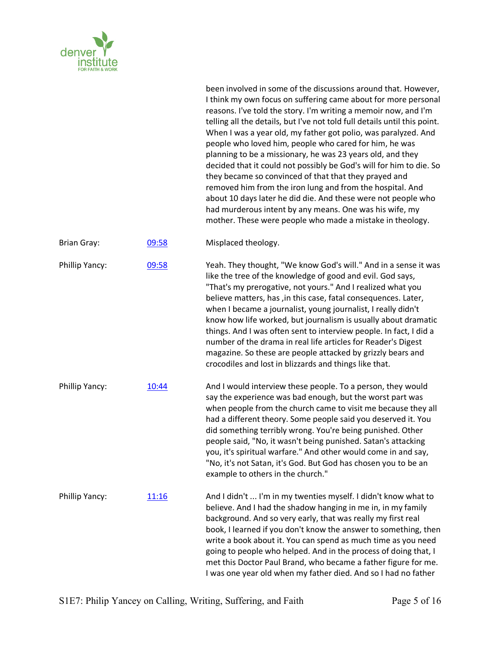

|                    |               | been involved in some of the discussions around that. However,<br>I think my own focus on suffering came about for more personal<br>reasons. I've told the story. I'm writing a memoir now, and I'm<br>telling all the details, but I've not told full details until this point.<br>When I was a year old, my father got polio, was paralyzed. And<br>people who loved him, people who cared for him, he was<br>planning to be a missionary, he was 23 years old, and they<br>decided that it could not possibly be God's will for him to die. So<br>they became so convinced of that that they prayed and<br>removed him from the iron lung and from the hospital. And<br>about 10 days later he did die. And these were not people who<br>had murderous intent by any means. One was his wife, my<br>mother. These were people who made a mistake in theology. |
|--------------------|---------------|------------------------------------------------------------------------------------------------------------------------------------------------------------------------------------------------------------------------------------------------------------------------------------------------------------------------------------------------------------------------------------------------------------------------------------------------------------------------------------------------------------------------------------------------------------------------------------------------------------------------------------------------------------------------------------------------------------------------------------------------------------------------------------------------------------------------------------------------------------------|
| <b>Brian Gray:</b> | 09:58         | Misplaced theology.                                                                                                                                                                                                                                                                                                                                                                                                                                                                                                                                                                                                                                                                                                                                                                                                                                              |
| Phillip Yancy:     | 09:58         | Yeah. They thought, "We know God's will." And in a sense it was<br>like the tree of the knowledge of good and evil. God says,<br>"That's my prerogative, not yours." And I realized what you<br>believe matters, has , in this case, fatal consequences. Later,<br>when I became a journalist, young journalist, I really didn't<br>know how life worked, but journalism is usually about dramatic<br>things. And I was often sent to interview people. In fact, I did a<br>number of the drama in real life articles for Reader's Digest<br>magazine. So these are people attacked by grizzly bears and<br>crocodiles and lost in blizzards and things like that.                                                                                                                                                                                               |
| Phillip Yancy:     | 10:44         | And I would interview these people. To a person, they would<br>say the experience was bad enough, but the worst part was<br>when people from the church came to visit me because they all<br>had a different theory. Some people said you deserved it. You<br>did something terribly wrong. You're being punished. Other<br>people said, "No, it wasn't being punished. Satan's attacking<br>you, it's spiritual warfare." And other would come in and say,<br>"No, it's not Satan, it's God. But God has chosen you to be an<br>example to others in the church."                                                                                                                                                                                                                                                                                               |
| Phillip Yancy:     | <u> 11:16</u> | And I didn't  I'm in my twenties myself. I didn't know what to<br>believe. And I had the shadow hanging in me in, in my family<br>background. And so very early, that was really my first real<br>book, I learned if you don't know the answer to something, then<br>write a book about it. You can spend as much time as you need<br>going to people who helped. And in the process of doing that, I<br>met this Doctor Paul Brand, who became a father figure for me.<br>I was one year old when my father died. And so I had no father                                                                                                                                                                                                                                                                                                                        |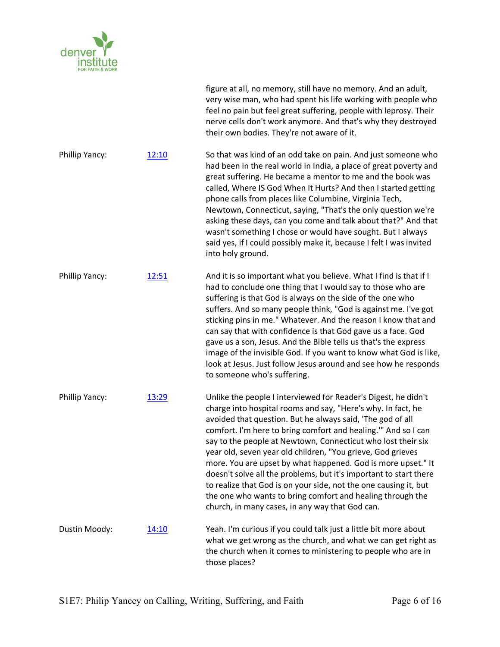

|                |       | figure at all, no memory, still have no memory. And an adult,<br>very wise man, who had spent his life working with people who<br>feel no pain but feel great suffering, people with leprosy. Their<br>nerve cells don't work anymore. And that's why they destroyed<br>their own bodies. They're not aware of it.                                                                                                                                                                                                                                                                                                                                                                                                     |
|----------------|-------|------------------------------------------------------------------------------------------------------------------------------------------------------------------------------------------------------------------------------------------------------------------------------------------------------------------------------------------------------------------------------------------------------------------------------------------------------------------------------------------------------------------------------------------------------------------------------------------------------------------------------------------------------------------------------------------------------------------------|
| Phillip Yancy: | 12:10 | So that was kind of an odd take on pain. And just someone who<br>had been in the real world in India, a place of great poverty and<br>great suffering. He became a mentor to me and the book was<br>called, Where IS God When It Hurts? And then I started getting<br>phone calls from places like Columbine, Virginia Tech,<br>Newtown, Connecticut, saying, "That's the only question we're<br>asking these days, can you come and talk about that?" And that<br>wasn't something I chose or would have sought. But I always<br>said yes, if I could possibly make it, because I felt I was invited<br>into holy ground.                                                                                             |
| Phillip Yancy: | 12:51 | And it is so important what you believe. What I find is that if I<br>had to conclude one thing that I would say to those who are<br>suffering is that God is always on the side of the one who<br>suffers. And so many people think, "God is against me. I've got<br>sticking pins in me." Whatever. And the reason I know that and<br>can say that with confidence is that God gave us a face. God<br>gave us a son, Jesus. And the Bible tells us that's the express<br>image of the invisible God. If you want to know what God is like,<br>look at Jesus. Just follow Jesus around and see how he responds<br>to someone who's suffering.                                                                          |
| Phillip Yancy: | 13:29 | Unlike the people I interviewed for Reader's Digest, he didn't<br>charge into hospital rooms and say, "Here's why. In fact, he<br>avoided that question. But he always said, 'The god of all<br>comfort. I'm here to bring comfort and healing." And so I can<br>say to the people at Newtown, Connecticut who lost their six<br>year old, seven year old children, "You grieve, God grieves<br>more. You are upset by what happened. God is more upset." It<br>doesn't solve all the problems, but it's important to start there<br>to realize that God is on your side, not the one causing it, but<br>the one who wants to bring comfort and healing through the<br>church, in many cases, in any way that God can. |
| Dustin Moody:  | 14:10 | Yeah. I'm curious if you could talk just a little bit more about<br>what we get wrong as the church, and what we can get right as<br>the church when it comes to ministering to people who are in<br>those places?                                                                                                                                                                                                                                                                                                                                                                                                                                                                                                     |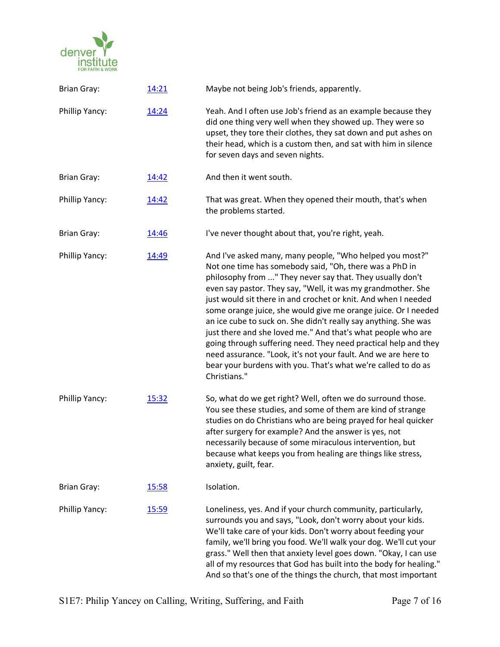

| <b>Brian Gray:</b> | 14:21 | Maybe not being Job's friends, apparently.                                                                                                                                                                                                                                                                                                                                                                                                                                                                                                                                                                                                                                                                                                    |
|--------------------|-------|-----------------------------------------------------------------------------------------------------------------------------------------------------------------------------------------------------------------------------------------------------------------------------------------------------------------------------------------------------------------------------------------------------------------------------------------------------------------------------------------------------------------------------------------------------------------------------------------------------------------------------------------------------------------------------------------------------------------------------------------------|
| Phillip Yancy:     | 14:24 | Yeah. And I often use Job's friend as an example because they<br>did one thing very well when they showed up. They were so<br>upset, they tore their clothes, they sat down and put ashes on<br>their head, which is a custom then, and sat with him in silence<br>for seven days and seven nights.                                                                                                                                                                                                                                                                                                                                                                                                                                           |
| <b>Brian Gray:</b> | 14:42 | And then it went south.                                                                                                                                                                                                                                                                                                                                                                                                                                                                                                                                                                                                                                                                                                                       |
| Phillip Yancy:     | 14:42 | That was great. When they opened their mouth, that's when<br>the problems started.                                                                                                                                                                                                                                                                                                                                                                                                                                                                                                                                                                                                                                                            |
| <b>Brian Gray:</b> | 14:46 | I've never thought about that, you're right, yeah.                                                                                                                                                                                                                                                                                                                                                                                                                                                                                                                                                                                                                                                                                            |
| Phillip Yancy:     | 14:49 | And I've asked many, many people, "Who helped you most?"<br>Not one time has somebody said, "Oh, there was a PhD in<br>philosophy from " They never say that. They usually don't<br>even say pastor. They say, "Well, it was my grandmother. She<br>just would sit there in and crochet or knit. And when I needed<br>some orange juice, she would give me orange juice. Or I needed<br>an ice cube to suck on. She didn't really say anything. She was<br>just there and she loved me." And that's what people who are<br>going through suffering need. They need practical help and they<br>need assurance. "Look, it's not your fault. And we are here to<br>bear your burdens with you. That's what we're called to do as<br>Christians." |
| Phillip Yancy:     | 15:32 | So, what do we get right? Well, often we do surround those.<br>You see these studies, and some of them are kind of strange<br>studies on do Christians who are being prayed for heal quicker<br>after surgery for example? And the answer is yes, not<br>necessarily because of some miraculous intervention, but<br>because what keeps you from healing are things like stress,<br>anxiety, guilt, fear.                                                                                                                                                                                                                                                                                                                                     |
| <b>Brian Gray:</b> | 15:58 | Isolation.                                                                                                                                                                                                                                                                                                                                                                                                                                                                                                                                                                                                                                                                                                                                    |
| Phillip Yancy:     | 15:59 | Loneliness, yes. And if your church community, particularly,<br>surrounds you and says, "Look, don't worry about your kids.<br>We'll take care of your kids. Don't worry about feeding your<br>family, we'll bring you food. We'll walk your dog. We'll cut your<br>grass." Well then that anxiety level goes down. "Okay, I can use<br>all of my resources that God has built into the body for healing."<br>And so that's one of the things the church, that most important                                                                                                                                                                                                                                                                 |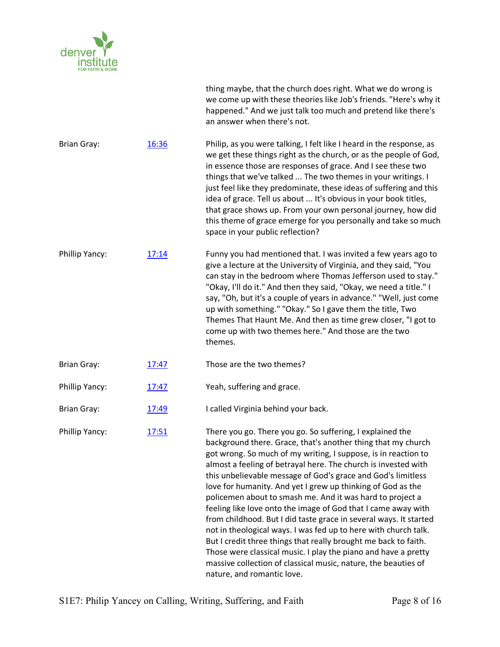

|                    |              | thing maybe, that the church does right. What we do wrong is<br>we come up with these theories like Job's friends. "Here's why it<br>happened." And we just talk too much and pretend like there's<br>an answer when there's not.                                                                                                                                                                                                                                                                                                                                                                                                                                                                                                                                                                                                                                                                       |
|--------------------|--------------|---------------------------------------------------------------------------------------------------------------------------------------------------------------------------------------------------------------------------------------------------------------------------------------------------------------------------------------------------------------------------------------------------------------------------------------------------------------------------------------------------------------------------------------------------------------------------------------------------------------------------------------------------------------------------------------------------------------------------------------------------------------------------------------------------------------------------------------------------------------------------------------------------------|
| <b>Brian Gray:</b> | 16:36        | Philip, as you were talking, I felt like I heard in the response, as<br>we get these things right as the church, or as the people of God,<br>in essence those are responses of grace. And I see these two<br>things that we've talked  The two themes in your writings. I<br>just feel like they predominate, these ideas of suffering and this<br>idea of grace. Tell us about  It's obvious in your book titles,<br>that grace shows up. From your own personal journey, how did<br>this theme of grace emerge for you personally and take so much<br>space in your public reflection?                                                                                                                                                                                                                                                                                                                |
| Phillip Yancy:     | 17:14        | Funny you had mentioned that. I was invited a few years ago to<br>give a lecture at the University of Virginia, and they said, "You<br>can stay in the bedroom where Thomas Jefferson used to stay."<br>"Okay, I'll do it." And then they said, "Okay, we need a title." I<br>say, "Oh, but it's a couple of years in advance." "Well, just come<br>up with something." "Okay." So I gave them the title, Two<br>Themes That Haunt Me. And then as time grew closer, "I got to<br>come up with two themes here." And those are the two<br>themes.                                                                                                                                                                                                                                                                                                                                                       |
| <b>Brian Gray:</b> | 17:47        | Those are the two themes?                                                                                                                                                                                                                                                                                                                                                                                                                                                                                                                                                                                                                                                                                                                                                                                                                                                                               |
| Phillip Yancy:     | 17:47        | Yeah, suffering and grace.                                                                                                                                                                                                                                                                                                                                                                                                                                                                                                                                                                                                                                                                                                                                                                                                                                                                              |
| <b>Brian Gray:</b> | 17:49        | I called Virginia behind your back.                                                                                                                                                                                                                                                                                                                                                                                                                                                                                                                                                                                                                                                                                                                                                                                                                                                                     |
| Phillip Yancy:     | <u>17:51</u> | There you go. There you go. So suffering, I explained the<br>background there. Grace, that's another thing that my church<br>got wrong. So much of my writing, I suppose, is in reaction to<br>almost a feeling of betrayal here. The church is invested with<br>this unbelievable message of God's grace and God's limitless<br>love for humanity. And yet I grew up thinking of God as the<br>policemen about to smash me. And it was hard to project a<br>feeling like love onto the image of God that I came away with<br>from childhood. But I did taste grace in several ways. It started<br>not in theological ways. I was fed up to here with church talk.<br>But I credit three things that really brought me back to faith.<br>Those were classical music. I play the piano and have a pretty<br>massive collection of classical music, nature, the beauties of<br>nature, and romantic love. |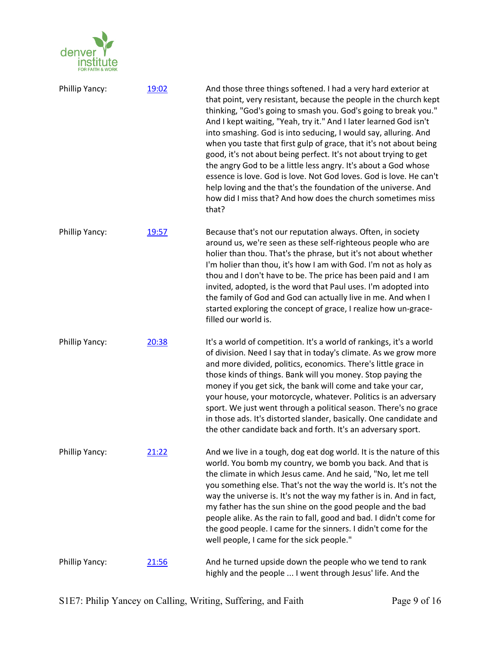

| Phillip Yancy: | 19:02        | And those three things softened. I had a very hard exterior at<br>that point, very resistant, because the people in the church kept<br>thinking, "God's going to smash you. God's going to break you."<br>And I kept waiting, "Yeah, try it." And I later learned God isn't<br>into smashing. God is into seducing, I would say, alluring. And<br>when you taste that first gulp of grace, that it's not about being<br>good, it's not about being perfect. It's not about trying to get<br>the angry God to be a little less angry. It's about a God whose<br>essence is love. God is love. Not God loves. God is love. He can't<br>help loving and the that's the foundation of the universe. And<br>how did I miss that? And how does the church sometimes miss<br>that? |
|----------------|--------------|-----------------------------------------------------------------------------------------------------------------------------------------------------------------------------------------------------------------------------------------------------------------------------------------------------------------------------------------------------------------------------------------------------------------------------------------------------------------------------------------------------------------------------------------------------------------------------------------------------------------------------------------------------------------------------------------------------------------------------------------------------------------------------|
| Phillip Yancy: | 19:57        | Because that's not our reputation always. Often, in society<br>around us, we're seen as these self-righteous people who are<br>holier than thou. That's the phrase, but it's not about whether<br>I'm holier than thou, it's how I am with God. I'm not as holy as<br>thou and I don't have to be. The price has been paid and I am<br>invited, adopted, is the word that Paul uses. I'm adopted into<br>the family of God and God can actually live in me. And when I<br>started exploring the concept of grace, I realize how un-grace-<br>filled our world is.                                                                                                                                                                                                           |
| Phillip Yancy: | 20:38        | It's a world of competition. It's a world of rankings, it's a world<br>of division. Need I say that in today's climate. As we grow more<br>and more divided, politics, economics. There's little grace in<br>those kinds of things. Bank will you money. Stop paying the<br>money if you get sick, the bank will come and take your car,<br>your house, your motorcycle, whatever. Politics is an adversary<br>sport. We just went through a political season. There's no grace<br>in those ads. It's distorted slander, basically. One candidate and<br>the other candidate back and forth. It's an adversary sport.                                                                                                                                                       |
| Phillip Yancy: | 21:22        | And we live in a tough, dog eat dog world. It is the nature of this<br>world. You bomb my country, we bomb you back. And that is<br>the climate in which Jesus came. And he said, "No, let me tell<br>you something else. That's not the way the world is. It's not the<br>way the universe is. It's not the way my father is in. And in fact,<br>my father has the sun shine on the good people and the bad<br>people alike. As the rain to fall, good and bad. I didn't come for<br>the good people. I came for the sinners. I didn't come for the<br>well people, I came for the sick people."                                                                                                                                                                           |
| Phillip Yancy: | <u>21:56</u> | And he turned upside down the people who we tend to rank<br>highly and the people  I went through Jesus' life. And the                                                                                                                                                                                                                                                                                                                                                                                                                                                                                                                                                                                                                                                      |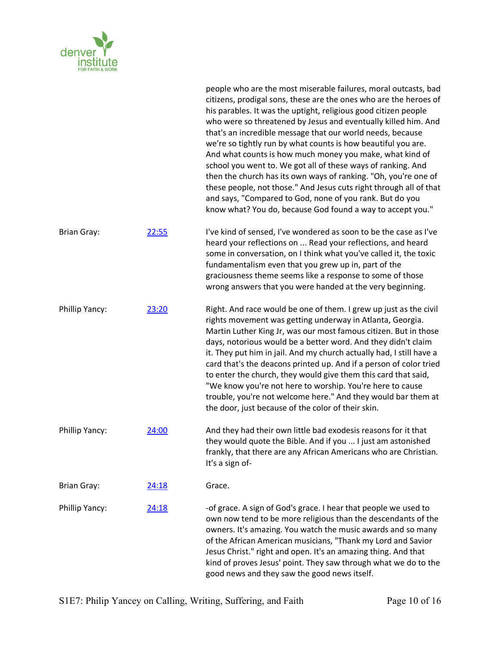

|                    |       | people who are the most miserable failures, moral outcasts, bad<br>citizens, prodigal sons, these are the ones who are the heroes of<br>his parables. It was the uptight, religious good citizen people<br>who were so threatened by Jesus and eventually killed him. And<br>that's an incredible message that our world needs, because<br>we're so tightly run by what counts is how beautiful you are.<br>And what counts is how much money you make, what kind of<br>school you went to. We got all of these ways of ranking. And<br>then the church has its own ways of ranking. "Oh, you're one of<br>these people, not those." And Jesus cuts right through all of that<br>and says, "Compared to God, none of you rank. But do you<br>know what? You do, because God found a way to accept you." |
|--------------------|-------|---------------------------------------------------------------------------------------------------------------------------------------------------------------------------------------------------------------------------------------------------------------------------------------------------------------------------------------------------------------------------------------------------------------------------------------------------------------------------------------------------------------------------------------------------------------------------------------------------------------------------------------------------------------------------------------------------------------------------------------------------------------------------------------------------------|
| <b>Brian Gray:</b> | 22:55 | I've kind of sensed, I've wondered as soon to be the case as I've<br>heard your reflections on  Read your reflections, and heard<br>some in conversation, on I think what you've called it, the toxic<br>fundamentalism even that you grew up in, part of the<br>graciousness theme seems like a response to some of those<br>wrong answers that you were handed at the very beginning.                                                                                                                                                                                                                                                                                                                                                                                                                 |
| Phillip Yancy:     | 23:20 | Right. And race would be one of them. I grew up just as the civil<br>rights movement was getting underway in Atlanta, Georgia.<br>Martin Luther King Jr, was our most famous citizen. But in those<br>days, notorious would be a better word. And they didn't claim<br>it. They put him in jail. And my church actually had, I still have a<br>card that's the deacons printed up. And if a person of color tried<br>to enter the church, they would give them this card that said,<br>"We know you're not here to worship. You're here to cause<br>trouble, you're not welcome here." And they would bar them at<br>the door, just because of the color of their skin.                                                                                                                                 |
| Phillip Yancy:     | 24:00 | And they had their own little bad exodesis reasons for it that<br>they would quote the Bible. And if you  I just am astonished<br>frankly, that there are any African Americans who are Christian.<br>It's a sign of-                                                                                                                                                                                                                                                                                                                                                                                                                                                                                                                                                                                   |
| <b>Brian Gray:</b> | 24:18 | Grace.                                                                                                                                                                                                                                                                                                                                                                                                                                                                                                                                                                                                                                                                                                                                                                                                  |
| Phillip Yancy:     | 24:18 | -of grace. A sign of God's grace. I hear that people we used to<br>own now tend to be more religious than the descendants of the<br>owners. It's amazing. You watch the music awards and so many<br>of the African American musicians, "Thank my Lord and Savior<br>Jesus Christ." right and open. It's an amazing thing. And that<br>kind of proves Jesus' point. They saw through what we do to the<br>good news and they saw the good news itself.                                                                                                                                                                                                                                                                                                                                                   |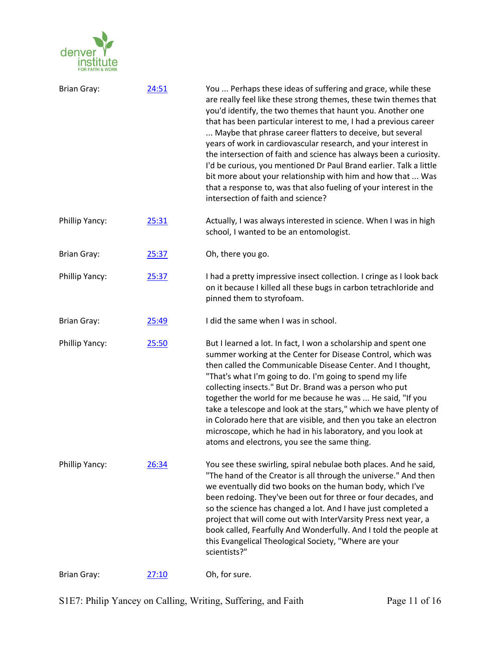

| <b>Brian Gray:</b> | 24:51 | You  Perhaps these ideas of suffering and grace, while these<br>are really feel like these strong themes, these twin themes that<br>you'd identify, the two themes that haunt you. Another one<br>that has been particular interest to me, I had a previous career<br>Maybe that phrase career flatters to deceive, but several<br>years of work in cardiovascular research, and your interest in<br>the intersection of faith and science has always been a curiosity.<br>I'd be curious, you mentioned Dr Paul Brand earlier. Talk a little<br>bit more about your relationship with him and how that  Was<br>that a response to, was that also fueling of your interest in the<br>intersection of faith and science? |
|--------------------|-------|-------------------------------------------------------------------------------------------------------------------------------------------------------------------------------------------------------------------------------------------------------------------------------------------------------------------------------------------------------------------------------------------------------------------------------------------------------------------------------------------------------------------------------------------------------------------------------------------------------------------------------------------------------------------------------------------------------------------------|
| Phillip Yancy:     | 25:31 | Actually, I was always interested in science. When I was in high<br>school, I wanted to be an entomologist.                                                                                                                                                                                                                                                                                                                                                                                                                                                                                                                                                                                                             |
| <b>Brian Gray:</b> | 25:37 | Oh, there you go.                                                                                                                                                                                                                                                                                                                                                                                                                                                                                                                                                                                                                                                                                                       |
| Phillip Yancy:     | 25:37 | I had a pretty impressive insect collection. I cringe as I look back<br>on it because I killed all these bugs in carbon tetrachloride and<br>pinned them to styrofoam.                                                                                                                                                                                                                                                                                                                                                                                                                                                                                                                                                  |
| <b>Brian Gray:</b> | 25:49 | I did the same when I was in school.                                                                                                                                                                                                                                                                                                                                                                                                                                                                                                                                                                                                                                                                                    |
| Phillip Yancy:     | 25:50 | But I learned a lot. In fact, I won a scholarship and spent one<br>summer working at the Center for Disease Control, which was<br>then called the Communicable Disease Center. And I thought,<br>"That's what I'm going to do. I'm going to spend my life<br>collecting insects." But Dr. Brand was a person who put<br>together the world for me because he was  He said, "If you<br>take a telescope and look at the stars," which we have plenty of<br>in Colorado here that are visible, and then you take an electron<br>microscope, which he had in his laboratory, and you look at<br>atoms and electrons, you see the same thing.                                                                               |
| Phillip Yancy:     | 26:34 | You see these swirling, spiral nebulae both places. And he said,<br>"The hand of the Creator is all through the universe." And then<br>we eventually did two books on the human body, which I've<br>been redoing. They've been out for three or four decades, and<br>so the science has changed a lot. And I have just completed a<br>project that will come out with InterVarsity Press next year, a<br>book called, Fearfully And Wonderfully. And I told the people at<br>this Evangelical Theological Society, "Where are your<br>scientists?"                                                                                                                                                                      |
| <b>Brian Gray:</b> | 27:10 | Oh, for sure.                                                                                                                                                                                                                                                                                                                                                                                                                                                                                                                                                                                                                                                                                                           |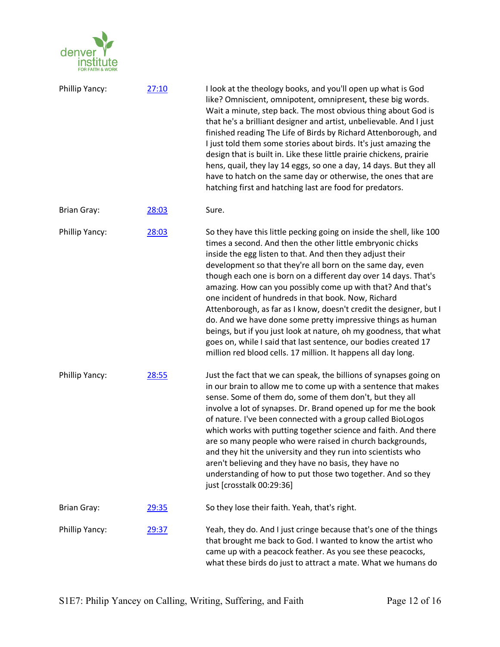

| Phillip Yancy:     | 27:10        | I look at the theology books, and you'll open up what is God<br>like? Omniscient, omnipotent, omnipresent, these big words.<br>Wait a minute, step back. The most obvious thing about God is<br>that he's a brilliant designer and artist, unbelievable. And I just<br>finished reading The Life of Birds by Richard Attenborough, and<br>I just told them some stories about birds. It's just amazing the<br>design that is built in. Like these little prairie chickens, prairie<br>hens, quail, they lay 14 eggs, so one a day, 14 days. But they all<br>have to hatch on the same day or otherwise, the ones that are<br>hatching first and hatching last are food for predators.                                                                                                                |
|--------------------|--------------|------------------------------------------------------------------------------------------------------------------------------------------------------------------------------------------------------------------------------------------------------------------------------------------------------------------------------------------------------------------------------------------------------------------------------------------------------------------------------------------------------------------------------------------------------------------------------------------------------------------------------------------------------------------------------------------------------------------------------------------------------------------------------------------------------|
| <b>Brian Gray:</b> | 28:03        | Sure.                                                                                                                                                                                                                                                                                                                                                                                                                                                                                                                                                                                                                                                                                                                                                                                                |
| Phillip Yancy:     | 28:03        | So they have this little pecking going on inside the shell, like 100<br>times a second. And then the other little embryonic chicks<br>inside the egg listen to that. And then they adjust their<br>development so that they're all born on the same day, even<br>though each one is born on a different day over 14 days. That's<br>amazing. How can you possibly come up with that? And that's<br>one incident of hundreds in that book. Now, Richard<br>Attenborough, as far as I know, doesn't credit the designer, but I<br>do. And we have done some pretty impressive things as human<br>beings, but if you just look at nature, oh my goodness, that what<br>goes on, while I said that last sentence, our bodies created 17<br>million red blood cells. 17 million. It happens all day long. |
| Phillip Yancy:     | 28:55        | Just the fact that we can speak, the billions of synapses going on<br>in our brain to allow me to come up with a sentence that makes<br>sense. Some of them do, some of them don't, but they all<br>involve a lot of synapses. Dr. Brand opened up for me the book<br>of nature. I've been connected with a group called BioLogos<br>which works with putting together science and faith. And there<br>are so many people who were raised in church backgrounds,<br>and they hit the university and they run into scientists who<br>aren't believing and they have no basis, they have no<br>understanding of how to put those two together. And so they<br>just [crosstalk 00:29:36]                                                                                                                |
| <b>Brian Gray:</b> | <u>29:35</u> | So they lose their faith. Yeah, that's right.                                                                                                                                                                                                                                                                                                                                                                                                                                                                                                                                                                                                                                                                                                                                                        |
| Phillip Yancy:     | 29:37        | Yeah, they do. And I just cringe because that's one of the things<br>that brought me back to God. I wanted to know the artist who<br>came up with a peacock feather. As you see these peacocks,<br>what these birds do just to attract a mate. What we humans do                                                                                                                                                                                                                                                                                                                                                                                                                                                                                                                                     |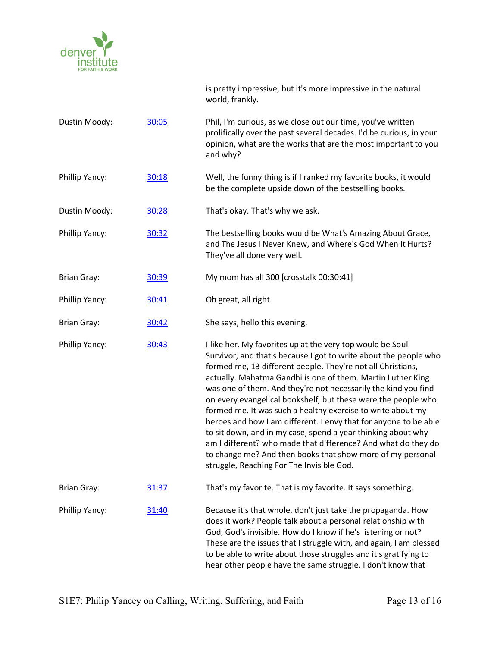

|                    |       | is pretty impressive, but it's more impressive in the natural<br>world, frankly.                                                                                                                                                                                                                                                                                                                                                                                                                                                                                                                                                                                                                                                                                              |
|--------------------|-------|-------------------------------------------------------------------------------------------------------------------------------------------------------------------------------------------------------------------------------------------------------------------------------------------------------------------------------------------------------------------------------------------------------------------------------------------------------------------------------------------------------------------------------------------------------------------------------------------------------------------------------------------------------------------------------------------------------------------------------------------------------------------------------|
| Dustin Moody:      | 30:05 | Phil, I'm curious, as we close out our time, you've written<br>prolifically over the past several decades. I'd be curious, in your<br>opinion, what are the works that are the most important to you<br>and why?                                                                                                                                                                                                                                                                                                                                                                                                                                                                                                                                                              |
| Phillip Yancy:     | 30:18 | Well, the funny thing is if I ranked my favorite books, it would<br>be the complete upside down of the bestselling books.                                                                                                                                                                                                                                                                                                                                                                                                                                                                                                                                                                                                                                                     |
| Dustin Moody:      | 30:28 | That's okay. That's why we ask.                                                                                                                                                                                                                                                                                                                                                                                                                                                                                                                                                                                                                                                                                                                                               |
| Phillip Yancy:     | 30:32 | The bestselling books would be What's Amazing About Grace,<br>and The Jesus I Never Knew, and Where's God When It Hurts?<br>They've all done very well.                                                                                                                                                                                                                                                                                                                                                                                                                                                                                                                                                                                                                       |
| <b>Brian Gray:</b> | 30:39 | My mom has all 300 [crosstalk 00:30:41]                                                                                                                                                                                                                                                                                                                                                                                                                                                                                                                                                                                                                                                                                                                                       |
| Phillip Yancy:     | 30:41 | Oh great, all right.                                                                                                                                                                                                                                                                                                                                                                                                                                                                                                                                                                                                                                                                                                                                                          |
| <b>Brian Gray:</b> | 30:42 | She says, hello this evening.                                                                                                                                                                                                                                                                                                                                                                                                                                                                                                                                                                                                                                                                                                                                                 |
| Phillip Yancy:     | 30:43 | I like her. My favorites up at the very top would be Soul<br>Survivor, and that's because I got to write about the people who<br>formed me, 13 different people. They're not all Christians,<br>actually. Mahatma Gandhi is one of them. Martin Luther King<br>was one of them. And they're not necessarily the kind you find<br>on every evangelical bookshelf, but these were the people who<br>formed me. It was such a healthy exercise to write about my<br>heroes and how I am different. I envy that for anyone to be able<br>to sit down, and in my case, spend a year thinking about why<br>am I different? who made that difference? And what do they do<br>to change me? And then books that show more of my personal<br>struggle, Reaching For The Invisible God. |
| <b>Brian Gray:</b> | 31:37 | That's my favorite. That is my favorite. It says something.                                                                                                                                                                                                                                                                                                                                                                                                                                                                                                                                                                                                                                                                                                                   |
| Phillip Yancy:     | 31:40 | Because it's that whole, don't just take the propaganda. How<br>does it work? People talk about a personal relationship with<br>God, God's invisible. How do I know if he's listening or not?<br>These are the issues that I struggle with, and again, I am blessed<br>to be able to write about those struggles and it's gratifying to<br>hear other people have the same struggle. I don't know that                                                                                                                                                                                                                                                                                                                                                                        |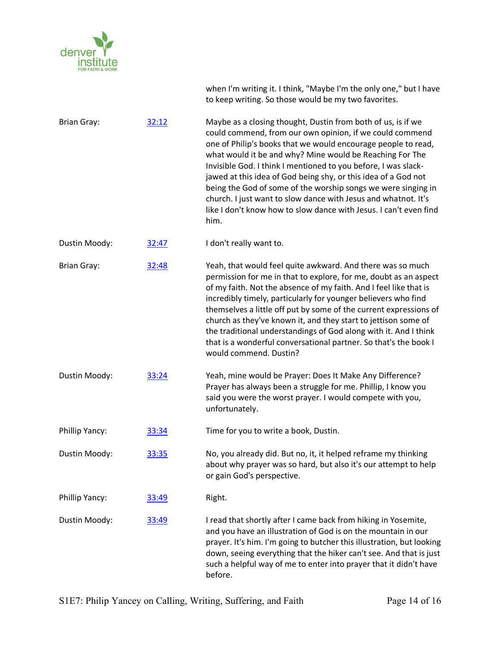

when I'm writing it. I think, "Maybe I'm the only one," but I have to keep writing. So those would be my two favorites.

Brian Gray: 32:12 Maybe as a closing thought, Dustin from both of us, is if we could commend, from our own opinion, if we could commend one of Philip's books that we would encourage people to read, what would it be and why? Mine would be Reaching For The Invisible God. I think I mentioned to you before, I was slackjawed at this idea of God being shy, or this idea of a God not being the God of some of the worship songs we were singing in church. I just want to slow dance with Jesus and whatnot. It's like I don't know how to slow dance with Jesus. I can't even find him.

Dustin Moody: 32:47 I don't really want to.

Brian Gray: 32:48 Yeah, that would feel quite awkward. And there was so much permission for me in that to explore, for me, doubt as an aspect of my faith. Not the absence of my faith. And I feel like that is incredibly timely, particularly for younger believers who find themselves a little off put by some of the current expressions of church as they've known it, and they start to jettison some of the traditional understandings of God along with it. And I think that is a wonderful conversational partner. So that's the book I would commend. Dustin?

Dustin Moody: 33:24 Yeah, mine would be Prayer: Does It Make Any Difference? Prayer has always been a struggle for me. Phillip, I know you said you were the worst prayer. I would compete with you, unfortunately.

Phillip Yancy:  $\frac{33:34}{2}$  Time for you to write a book, Dustin.

Dustin Moody: 33:35 No, you already did. But no, it, it helped reframe my thinking about why prayer was so hard, but also it's our attempt to help or gain God's perspective.

Phillip Yancy: 33:49 Right.

Dustin Moody: 33:49 I read that shortly after I came back from hiking in Yosemite, and you have an illustration of God is on the mountain in our prayer. It's him. I'm going to butcher this illustration, but looking down, seeing everything that the hiker can't see. And that is just such a helpful way of me to enter into prayer that it didn't have before.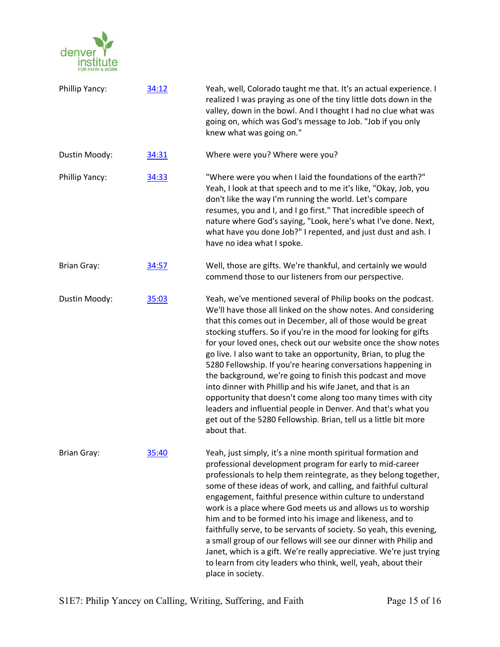

| Phillip Yancy:     | 34:12 | Yeah, well, Colorado taught me that. It's an actual experience. I<br>realized I was praying as one of the tiny little dots down in the<br>valley, down in the bowl. And I thought I had no clue what was<br>going on, which was God's message to Job. "Job if you only<br>knew what was going on."                                                                                                                                                                                                                                                                                                                                                                                                                                                                                                                           |
|--------------------|-------|------------------------------------------------------------------------------------------------------------------------------------------------------------------------------------------------------------------------------------------------------------------------------------------------------------------------------------------------------------------------------------------------------------------------------------------------------------------------------------------------------------------------------------------------------------------------------------------------------------------------------------------------------------------------------------------------------------------------------------------------------------------------------------------------------------------------------|
| Dustin Moody:      | 34:31 | Where were you? Where were you?                                                                                                                                                                                                                                                                                                                                                                                                                                                                                                                                                                                                                                                                                                                                                                                              |
| Phillip Yancy:     | 34:33 | "Where were you when I laid the foundations of the earth?"<br>Yeah, I look at that speech and to me it's like, "Okay, Job, you<br>don't like the way I'm running the world. Let's compare<br>resumes, you and I, and I go first." That incredible speech of<br>nature where God's saying, "Look, here's what I've done. Next,<br>what have you done Job?" I repented, and just dust and ash. I<br>have no idea what I spoke.                                                                                                                                                                                                                                                                                                                                                                                                 |
| <b>Brian Gray:</b> | 34:57 | Well, those are gifts. We're thankful, and certainly we would<br>commend those to our listeners from our perspective.                                                                                                                                                                                                                                                                                                                                                                                                                                                                                                                                                                                                                                                                                                        |
| Dustin Moody:      | 35:03 | Yeah, we've mentioned several of Philip books on the podcast.<br>We'll have those all linked on the show notes. And considering<br>that this comes out in December, all of those would be great<br>stocking stuffers. So if you're in the mood for looking for gifts<br>for your loved ones, check out our website once the show notes<br>go live. I also want to take an opportunity, Brian, to plug the<br>5280 Fellowship. If you're hearing conversations happening in<br>the background, we're going to finish this podcast and move<br>into dinner with Phillip and his wife Janet, and that is an<br>opportunity that doesn't come along too many times with city<br>leaders and influential people in Denver. And that's what you<br>get out of the 5280 Fellowship. Brian, tell us a little bit more<br>about that. |
| <b>Brian Gray:</b> | 35:40 | Yeah, just simply, it's a nine month spiritual formation and<br>professional development program for early to mid-career<br>professionals to help them reintegrate, as they belong together,<br>some of these ideas of work, and calling, and faithful cultural<br>engagement, faithful presence within culture to understand<br>work is a place where God meets us and allows us to worship<br>him and to be formed into his image and likeness, and to<br>faithfully serve, to be servants of society. So yeah, this evening,<br>a small group of our fellows will see our dinner with Philip and<br>Janet, which is a gift. We're really appreciative. We're just trying<br>to learn from city leaders who think, well, yeah, about their<br>place in society.                                                            |